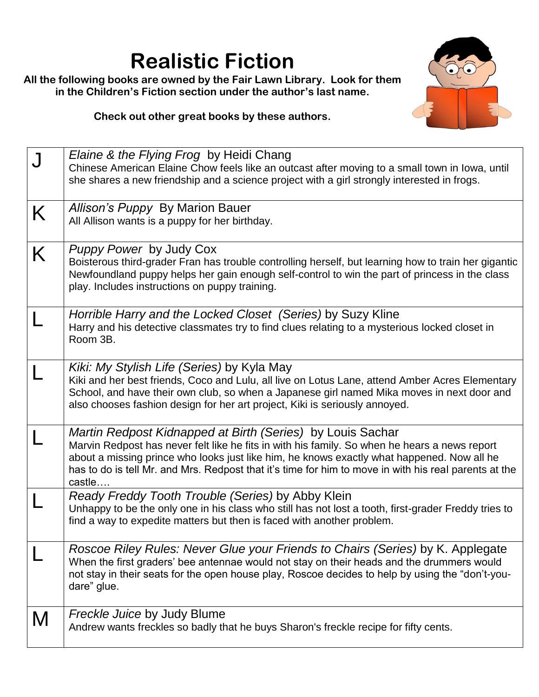## **Realistic Fiction**

**All the following books are owned by the Fair Lawn Library. Look for them in the Children's Fiction section under the author's last name.**



**Check out other great books by these authors.**

|   | Elaine & the Flying Frog by Heidi Chang<br>Chinese American Elaine Chow feels like an outcast after moving to a small town in lowa, until<br>she shares a new friendship and a science project with a girl strongly interested in frogs.                                                                                                                                     |
|---|------------------------------------------------------------------------------------------------------------------------------------------------------------------------------------------------------------------------------------------------------------------------------------------------------------------------------------------------------------------------------|
| K | Allison's Puppy By Marion Bauer<br>All Allison wants is a puppy for her birthday.                                                                                                                                                                                                                                                                                            |
| K | <i>Puppy Power</i> by Judy Cox<br>Boisterous third-grader Fran has trouble controlling herself, but learning how to train her gigantic<br>Newfoundland puppy helps her gain enough self-control to win the part of princess in the class<br>play. Includes instructions on puppy training.                                                                                   |
|   | Horrible Harry and the Locked Closet (Series) by Suzy Kline<br>Harry and his detective classmates try to find clues relating to a mysterious locked closet in<br>Room 3B.                                                                                                                                                                                                    |
|   | Kiki: My Stylish Life (Series) by Kyla May<br>Kiki and her best friends, Coco and Lulu, all live on Lotus Lane, attend Amber Acres Elementary<br>School, and have their own club, so when a Japanese girl named Mika moves in next door and<br>also chooses fashion design for her art project, Kiki is seriously annoyed.                                                   |
|   | Martin Redpost Kidnapped at Birth (Series) by Louis Sachar<br>Marvin Redpost has never felt like he fits in with his family. So when he hears a news report<br>about a missing prince who looks just like him, he knows exactly what happened. Now all he<br>has to do is tell Mr. and Mrs. Redpost that it's time for him to move in with his real parents at the<br>castle |
|   | Ready Freddy Tooth Trouble (Series) by Abby Klein<br>Unhappy to be the only one in his class who still has not lost a tooth, first-grader Freddy tries to<br>find a way to expedite matters but then is faced with another problem.                                                                                                                                          |
|   | Roscoe Riley Rules: Never Glue your Friends to Chairs (Series) by K. Applegate<br>When the first graders' bee antennae would not stay on their heads and the drummers would<br>not stay in their seats for the open house play, Roscoe decides to help by using the "don't-you-<br>dare" glue.                                                                               |
| M | <b>Freckle Juice by Judy Blume</b><br>Andrew wants freckles so badly that he buys Sharon's freckle recipe for fifty cents.                                                                                                                                                                                                                                                   |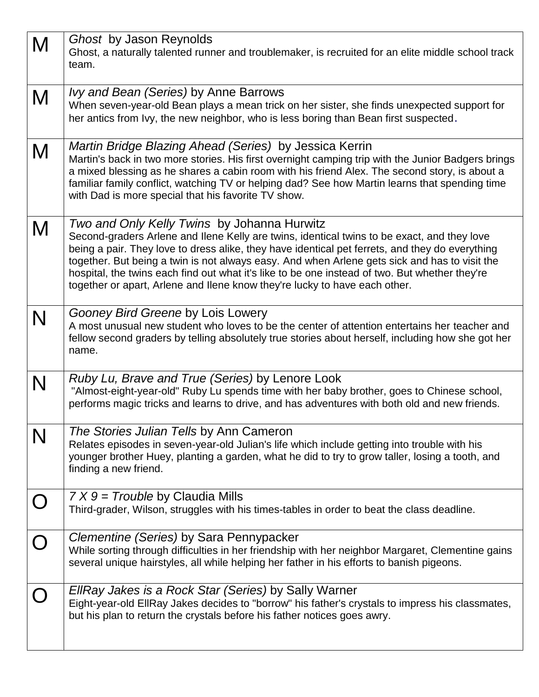| M         | Ghost by Jason Reynolds                                                                                                            |
|-----------|------------------------------------------------------------------------------------------------------------------------------------|
|           | Ghost, a naturally talented runner and troublemaker, is recruited for an elite middle school track                                 |
|           | team.                                                                                                                              |
|           |                                                                                                                                    |
| M         | <i>lvy and Bean (Series)</i> by Anne Barrows                                                                                       |
|           | When seven-year-old Bean plays a mean trick on her sister, she finds unexpected support for                                        |
|           | her antics from Ivy, the new neighbor, who is less boring than Bean first suspected.                                               |
|           |                                                                                                                                    |
| M         | Martin Bridge Blazing Ahead (Series) by Jessica Kerrin                                                                             |
|           | Martin's back in two more stories. His first overnight camping trip with the Junior Badgers brings                                 |
|           | a mixed blessing as he shares a cabin room with his friend Alex. The second story, is about a                                      |
|           | familiar family conflict, watching TV or helping dad? See how Martin learns that spending time                                     |
|           | with Dad is more special that his favorite TV show.                                                                                |
|           |                                                                                                                                    |
| M         | Two and Only Kelly Twins by Johanna Hurwitz                                                                                        |
|           | Second-graders Arlene and Ilene Kelly are twins, identical twins to be exact, and they love                                        |
|           | being a pair. They love to dress alike, they have identical pet ferrets, and they do everything                                    |
|           | together. But being a twin is not always easy. And when Arlene gets sick and has to visit the                                      |
|           | hospital, the twins each find out what it's like to be one instead of two. But whether they're                                     |
|           | together or apart, Arlene and Ilene know they're lucky to have each other.                                                         |
|           |                                                                                                                                    |
| N         | Gooney Bird Greene by Lois Lowery<br>A most unusual new student who loves to be the center of attention entertains her teacher and |
|           | fellow second graders by telling absolutely true stories about herself, including how she got her                                  |
|           | name.                                                                                                                              |
|           |                                                                                                                                    |
|           | Ruby Lu, Brave and True (Series) by Lenore Look                                                                                    |
| N         | "Almost-eight-year-old" Ruby Lu spends time with her baby brother, goes to Chinese school,                                         |
|           | performs magic tricks and learns to drive, and has adventures with both old and new friends.                                       |
|           |                                                                                                                                    |
| N         | The Stories Julian Tells by Ann Cameron                                                                                            |
|           | Relates episodes in seven-year-old Julian's life which include getting into trouble with his                                       |
|           | younger brother Huey, planting a garden, what he did to try to grow taller, losing a tooth, and                                    |
|           | finding a new friend.                                                                                                              |
|           |                                                                                                                                    |
|           | $7X9$ = Trouble by Claudia Mills                                                                                                   |
|           | Third-grader, Wilson, struggles with his times-tables in order to beat the class deadline.                                         |
|           |                                                                                                                                    |
| $\bigcap$ | Clementine (Series) by Sara Pennypacker                                                                                            |
|           | While sorting through difficulties in her friendship with her neighbor Margaret, Clementine gains                                  |
|           | several unique hairstyles, all while helping her father in his efforts to banish pigeons.                                          |
|           |                                                                                                                                    |
|           | EllRay Jakes is a Rock Star (Series) by Sally Warner                                                                               |
|           | Eight-year-old EllRay Jakes decides to "borrow" his father's crystals to impress his classmates,                                   |
|           | but his plan to return the crystals before his father notices goes awry.                                                           |
|           |                                                                                                                                    |
|           |                                                                                                                                    |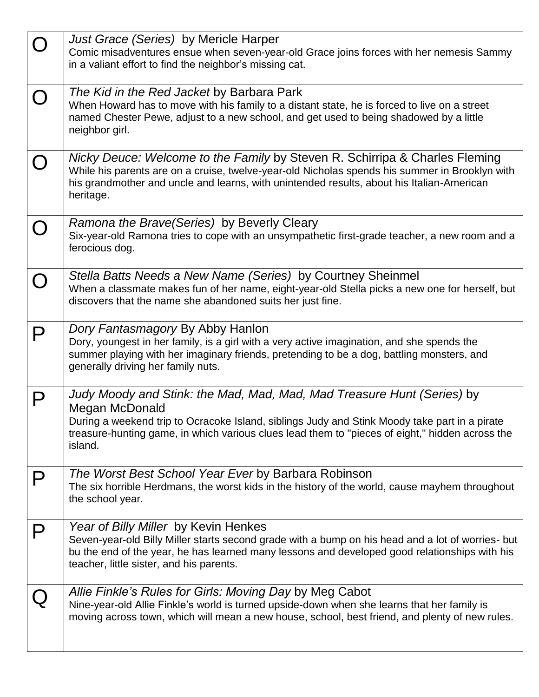|   | Just Grace (Series) by Mericle Harper<br>Comic misadventures ensue when seven-year-old Grace joins forces with her nemesis Sammy<br>in a valiant effort to find the neighbor's missing cat.                                                                                                             |
|---|---------------------------------------------------------------------------------------------------------------------------------------------------------------------------------------------------------------------------------------------------------------------------------------------------------|
|   | The Kid in the Red Jacket by Barbara Park<br>When Howard has to move with his family to a distant state, he is forced to live on a street<br>named Chester Pewe, adjust to a new school, and get used to being shadowed by a little<br>neighbor girl.                                                   |
|   | Nicky Deuce: Welcome to the Family by Steven R. Schirripa & Charles Fleming<br>While his parents are on a cruise, twelve-year-old Nicholas spends his summer in Brooklyn with<br>his grandmother and uncle and learns, with unintended results, about his Italian-American<br>heritage.                 |
|   | Ramona the Brave (Series) by Beverly Cleary<br>Six-year-old Ramona tries to cope with an unsympathetic first-grade teacher, a new room and a<br>ferocious dog.                                                                                                                                          |
|   | Stella Batts Needs a New Name (Series) by Courtney Sheinmel<br>When a classmate makes fun of her name, eight-year-old Stella picks a new one for herself, but<br>discovers that the name she abandoned suits her just fine.                                                                             |
| P | Dory Fantasmagory By Abby Hanlon<br>Dory, youngest in her family, is a girl with a very active imagination, and she spends the<br>summer playing with her imaginary friends, pretending to be a dog, battling monsters, and<br>generally driving her family nuts.                                       |
|   | Judy Moody and Stink: the Mad, Mad, Mad, Mad Treasure Hunt (Series) by<br>Megan McDonald<br>During a weekend trip to Ocracoke Island, siblings Judy and Stink Moody take part in a pirate<br>treasure-hunting game, in which various clues lead them to "pieces of eight," hidden across the<br>island. |
|   | The Worst Best School Year Ever by Barbara Robinson<br>The six horrible Herdmans, the worst kids in the history of the world, cause mayhem throughout<br>the school year.                                                                                                                               |
| P | Year of Billy Miller by Kevin Henkes<br>Seven-year-old Billy Miller starts second grade with a bump on his head and a lot of worries- but<br>bu the end of the year, he has learned many lessons and developed good relationships with his<br>teacher, little sister, and his parents.                  |
|   | Allie Finkle's Rules for Girls: Moving Day by Meg Cabot<br>Nine-year-old Allie Finkle's world is turned upside-down when she learns that her family is<br>moving across town, which will mean a new house, school, best friend, and plenty of new rules.                                                |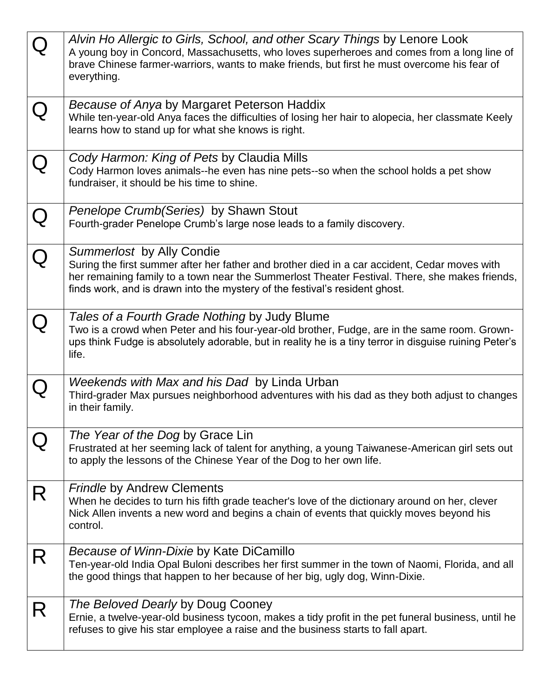|           | Alvin Ho Allergic to Girls, School, and other Scary Things by Lenore Look<br>A young boy in Concord, Massachusetts, who loves superheroes and comes from a long line of<br>brave Chinese farmer-warriors, wants to make friends, but first he must overcome his fear of<br>everything.                      |
|-----------|-------------------------------------------------------------------------------------------------------------------------------------------------------------------------------------------------------------------------------------------------------------------------------------------------------------|
|           | <i>Because of Anya</i> by Margaret Peterson Haddix<br>While ten-year-old Anya faces the difficulties of losing her hair to alopecia, her classmate Keely<br>learns how to stand up for what she knows is right.                                                                                             |
|           | Cody Harmon: King of Pets by Claudia Mills<br>Cody Harmon loves animals--he even has nine pets--so when the school holds a pet show<br>fundraiser, it should be his time to shine.                                                                                                                          |
| ${\bf Q}$ | Penelope Crumb (Series) by Shawn Stout<br>Fourth-grader Penelope Crumb's large nose leads to a family discovery.                                                                                                                                                                                            |
|           | Summerlost by Ally Condie<br>Suring the first summer after her father and brother died in a car accident, Cedar moves with<br>her remaining family to a town near the Summerlost Theater Festival. There, she makes friends,<br>finds work, and is drawn into the mystery of the festival's resident ghost. |
|           | Tales of a Fourth Grade Nothing by Judy Blume<br>Two is a crowd when Peter and his four-year-old brother, Fudge, are in the same room. Grown-<br>ups think Fudge is absolutely adorable, but in reality he is a tiny terror in disguise ruining Peter's<br>life.                                            |
|           | Weekends with Max and his Dad by Linda Urban<br>Third-grader Max pursues neighborhood adventures with his dad as they both adjust to changes<br>in their family.                                                                                                                                            |
|           | The Year of the Dog by Grace Lin<br>Frustrated at her seeming lack of talent for anything, a young Taiwanese-American girl sets out<br>to apply the lessons of the Chinese Year of the Dog to her own life.                                                                                                 |
| R         | <b>Frindle by Andrew Clements</b><br>When he decides to turn his fifth grade teacher's love of the dictionary around on her, clever<br>Nick Allen invents a new word and begins a chain of events that quickly moves beyond his<br>control.                                                                 |
| R         | Because of Winn-Dixie by Kate DiCamillo<br>Ten-year-old India Opal Buloni describes her first summer in the town of Naomi, Florida, and all<br>the good things that happen to her because of her big, ugly dog, Winn-Dixie.                                                                                 |
| R         | The Beloved Dearly by Doug Cooney<br>Ernie, a twelve-year-old business tycoon, makes a tidy profit in the pet funeral business, until he<br>refuses to give his star employee a raise and the business starts to fall apart.                                                                                |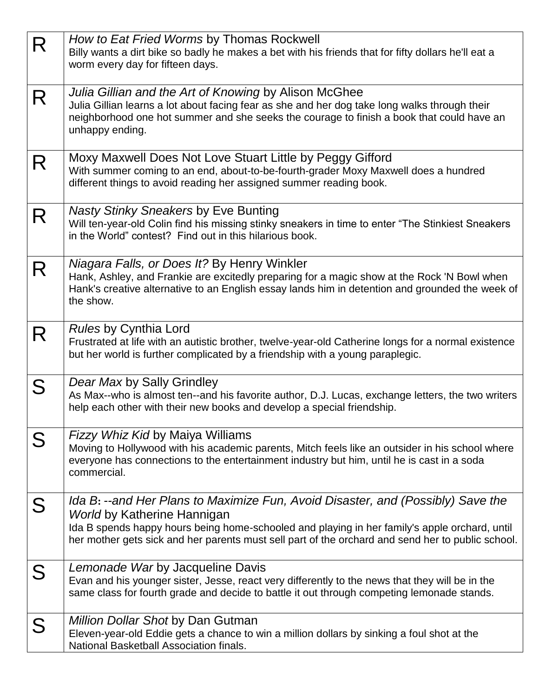| R | How to Eat Fried Worms by Thomas Rockwell                                                                                                  |
|---|--------------------------------------------------------------------------------------------------------------------------------------------|
|   | Billy wants a dirt bike so badly he makes a bet with his friends that for fifty dollars he'll eat a<br>worm every day for fifteen days.    |
|   |                                                                                                                                            |
| R | Julia Gillian and the Art of Knowing by Alison McGhee                                                                                      |
|   | Julia Gillian learns a lot about facing fear as she and her dog take long walks through their                                              |
|   | neighborhood one hot summer and she seeks the courage to finish a book that could have an                                                  |
|   | unhappy ending.                                                                                                                            |
| R | Moxy Maxwell Does Not Love Stuart Little by Peggy Gifford                                                                                  |
|   | With summer coming to an end, about-to-be-fourth-grader Moxy Maxwell does a hundred                                                        |
|   | different things to avoid reading her assigned summer reading book.                                                                        |
|   | <b>Nasty Stinky Sneakers by Eve Bunting</b>                                                                                                |
| R | Will ten-year-old Colin find his missing stinky sneakers in time to enter "The Stinkiest Sneakers"                                         |
|   | in the World" contest? Find out in this hilarious book.                                                                                    |
|   |                                                                                                                                            |
| R | Niagara Falls, or Does It? By Henry Winkler<br>Hank, Ashley, and Frankie are excitedly preparing for a magic show at the Rock 'N Bowl when |
|   | Hank's creative alternative to an English essay lands him in detention and grounded the week of                                            |
|   | the show.                                                                                                                                  |
|   |                                                                                                                                            |
| R | <b>Rules by Cynthia Lord</b><br>Frustrated at life with an autistic brother, twelve-year-old Catherine longs for a normal existence        |
|   | but her world is further complicated by a friendship with a young paraplegic.                                                              |
|   |                                                                                                                                            |
| S | Dear Max by Sally Grindley                                                                                                                 |
|   | As Max--who is almost ten--and his favorite author, D.J. Lucas, exchange letters, the two writers                                          |
|   | help each other with their new books and develop a special friendship.                                                                     |
| S | Fizzy Whiz Kid by Maiya Williams                                                                                                           |
|   | Moving to Hollywood with his academic parents, Mitch feels like an outsider in his school where                                            |
|   | everyone has connections to the entertainment industry but him, until he is cast in a soda<br>commercial.                                  |
|   |                                                                                                                                            |
| S | Ida B: --and Her Plans to Maximize Fun, Avoid Disaster, and (Possibly) Save the                                                            |
|   | <b>World by Katherine Hannigan</b>                                                                                                         |
|   | Ida B spends happy hours being home-schooled and playing in her family's apple orchard, until                                              |
|   | her mother gets sick and her parents must sell part of the orchard and send her to public school.                                          |
| S | Lemonade War by Jacqueline Davis                                                                                                           |
|   | Evan and his younger sister, Jesse, react very differently to the news that they will be in the                                            |
|   | same class for fourth grade and decide to battle it out through competing lemonade stands.                                                 |
|   | <b>Million Dollar Shot by Dan Gutman</b>                                                                                                   |
| S | Eleven-year-old Eddie gets a chance to win a million dollars by sinking a foul shot at the                                                 |
|   | National Basketball Association finals.                                                                                                    |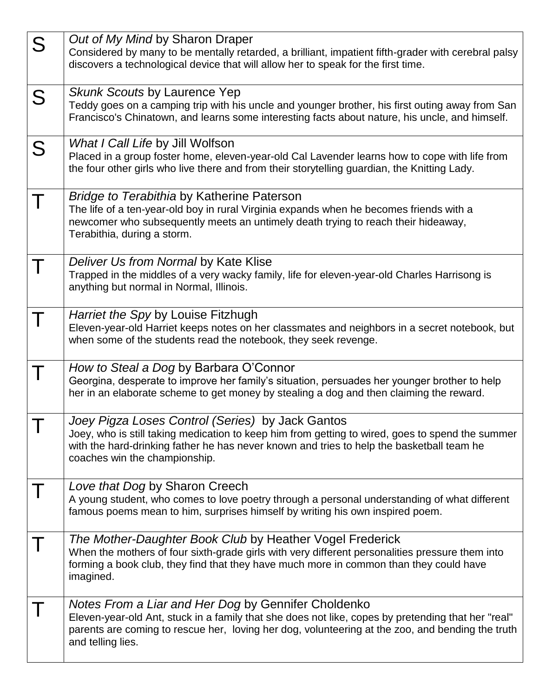| S | Out of My Mind by Sharon Draper<br>Considered by many to be mentally retarded, a brilliant, impatient fifth-grader with cerebral palsy<br>discovers a technological device that will allow her to speak for the first time.                                                        |
|---|------------------------------------------------------------------------------------------------------------------------------------------------------------------------------------------------------------------------------------------------------------------------------------|
| S | <b>Skunk Scouts by Laurence Yep</b><br>Teddy goes on a camping trip with his uncle and younger brother, his first outing away from San<br>Francisco's Chinatown, and learns some interesting facts about nature, his uncle, and himself.                                           |
| S | What I Call Life by Jill Wolfson<br>Placed in a group foster home, eleven-year-old Cal Lavender learns how to cope with life from<br>the four other girls who live there and from their storytelling guardian, the Knitting Lady.                                                  |
|   | <b>Bridge to Terabithia by Katherine Paterson</b><br>The life of a ten-year-old boy in rural Virginia expands when he becomes friends with a<br>newcomer who subsequently meets an untimely death trying to reach their hideaway,<br>Terabithia, during a storm.                   |
|   | Deliver Us from Normal by Kate Klise<br>Trapped in the middles of a very wacky family, life for eleven-year-old Charles Harrisong is<br>anything but normal in Normal, Illinois.                                                                                                   |
|   | <i>Harriet the Spy by Louise Fitzhugh</i><br>Eleven-year-old Harriet keeps notes on her classmates and neighbors in a secret notebook, but<br>when some of the students read the notebook, they seek revenge.                                                                      |
|   | How to Steal a Dog by Barbara O'Connor<br>Georgina, desperate to improve her family's situation, persuades her younger brother to help<br>her in an elaborate scheme to get money by stealing a dog and then claiming the reward.                                                  |
|   | Joey Pigza Loses Control (Series) by Jack Gantos<br>Joey, who is still taking medication to keep him from getting to wired, goes to spend the summer<br>with the hard-drinking father he has never known and tries to help the basketball team he<br>coaches win the championship. |
|   | Love that Dog by Sharon Creech<br>A young student, who comes to love poetry through a personal understanding of what different<br>famous poems mean to him, surprises himself by writing his own inspired poem.                                                                    |
|   | The Mother-Daughter Book Club by Heather Vogel Frederick<br>When the mothers of four sixth-grade girls with very different personalities pressure them into<br>forming a book club, they find that they have much more in common than they could have<br>imagined.                 |
|   | Notes From a Liar and Her Dog by Gennifer Choldenko<br>Eleven-year-old Ant, stuck in a family that she does not like, copes by pretending that her "real"<br>parents are coming to rescue her, loving her dog, volunteering at the zoo, and bending the truth<br>and telling lies. |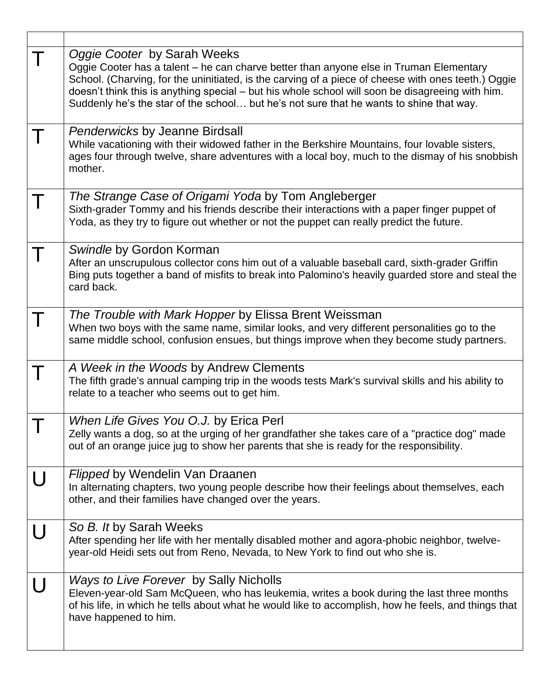|   | Oggie Cooter by Sarah Weeks<br>Oggie Cooter has a talent – he can charve better than anyone else in Truman Elementary<br>School. (Charving, for the uninitiated, is the carving of a piece of cheese with ones teeth.) Oggie<br>doesn't think this is anything special - but his whole school will soon be disagreeing with him.<br>Suddenly he's the star of the school but he's not sure that he wants to shine that way. |
|---|-----------------------------------------------------------------------------------------------------------------------------------------------------------------------------------------------------------------------------------------------------------------------------------------------------------------------------------------------------------------------------------------------------------------------------|
|   | <b>Penderwicks by Jeanne Birdsall</b><br>While vacationing with their widowed father in the Berkshire Mountains, four lovable sisters,<br>ages four through twelve, share adventures with a local boy, much to the dismay of his snobbish<br>mother.                                                                                                                                                                        |
|   | The Strange Case of Origami Yoda by Tom Angleberger<br>Sixth-grader Tommy and his friends describe their interactions with a paper finger puppet of<br>Yoda, as they try to figure out whether or not the puppet can really predict the future.                                                                                                                                                                             |
|   | Swindle by Gordon Korman<br>After an unscrupulous collector cons him out of a valuable baseball card, sixth-grader Griffin<br>Bing puts together a band of misfits to break into Palomino's heavily guarded store and steal the<br>card back.                                                                                                                                                                               |
|   | The Trouble with Mark Hopper by Elissa Brent Weissman<br>When two boys with the same name, similar looks, and very different personalities go to the<br>same middle school, confusion ensues, but things improve when they become study partners.                                                                                                                                                                           |
|   | A Week in the Woods by Andrew Clements<br>The fifth grade's annual camping trip in the woods tests Mark's survival skills and his ability to<br>relate to a teacher who seems out to get him.                                                                                                                                                                                                                               |
|   | When Life Gives You O.J. by Erica Perl<br>Zelly wants a dog, so at the urging of her grandfather she takes care of a "practice dog" made<br>out of an orange juice jug to show her parents that she is ready for the responsibility.                                                                                                                                                                                        |
| U | Flipped by Wendelin Van Draanen<br>In alternating chapters, two young people describe how their feelings about themselves, each<br>other, and their families have changed over the years.                                                                                                                                                                                                                                   |
|   | So B. It by Sarah Weeks<br>After spending her life with her mentally disabled mother and agora-phobic neighbor, twelve-<br>year-old Heidi sets out from Reno, Nevada, to New York to find out who she is.                                                                                                                                                                                                                   |
|   | Ways to Live Forever by Sally Nicholls<br>Eleven-year-old Sam McQueen, who has leukemia, writes a book during the last three months<br>of his life, in which he tells about what he would like to accomplish, how he feels, and things that<br>have happened to him.                                                                                                                                                        |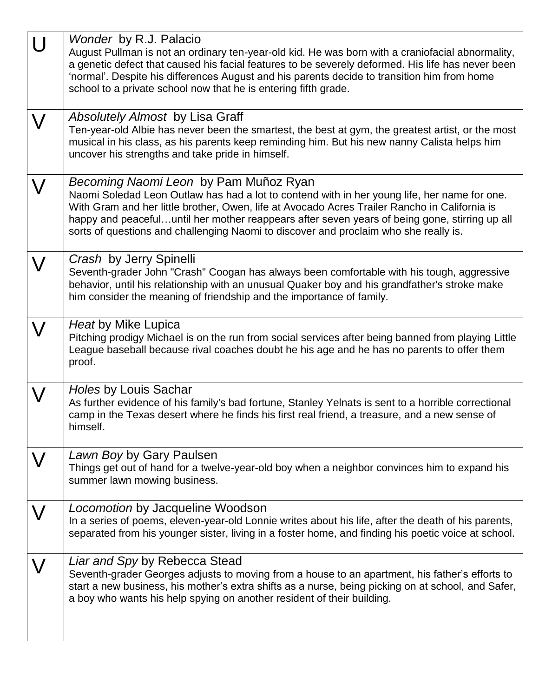| Wonder by R.J. Palacio<br>August Pullman is not an ordinary ten-year-old kid. He was born with a craniofacial abnormality,<br>a genetic defect that caused his facial features to be severely deformed. His life has never been<br>'normal'. Despite his differences August and his parents decide to transition him from home<br>school to a private school now that he is entering fifth grade.                               |
|---------------------------------------------------------------------------------------------------------------------------------------------------------------------------------------------------------------------------------------------------------------------------------------------------------------------------------------------------------------------------------------------------------------------------------|
| <b>Absolutely Almost by Lisa Graff</b><br>Ten-year-old Albie has never been the smartest, the best at gym, the greatest artist, or the most<br>musical in his class, as his parents keep reminding him. But his new nanny Calista helps him<br>uncover his strengths and take pride in himself.                                                                                                                                 |
| Becoming Naomi Leon by Pam Muñoz Ryan<br>Naomi Soledad Leon Outlaw has had a lot to contend with in her young life, her name for one.<br>With Gram and her little brother, Owen, life at Avocado Acres Trailer Rancho in California is<br>happy and peacefuluntil her mother reappears after seven years of being gone, stirring up all<br>sorts of questions and challenging Naomi to discover and proclaim who she really is. |
| Crash by Jerry Spinelli<br>Seventh-grader John "Crash" Coogan has always been comfortable with his tough, aggressive<br>behavior, until his relationship with an unusual Quaker boy and his grandfather's stroke make<br>him consider the meaning of friendship and the importance of family.                                                                                                                                   |
| Heat by Mike Lupica<br>Pitching prodigy Michael is on the run from social services after being banned from playing Little<br>League baseball because rival coaches doubt he his age and he has no parents to offer them<br>proof.                                                                                                                                                                                               |
| Holes by Louis Sachar<br>As further evidence of his family's bad fortune, Stanley Yelnats is sent to a horrible correctional<br>camp in the Texas desert where he finds his first real friend, a treasure, and a new sense of<br>himself.                                                                                                                                                                                       |
| Lawn Boy by Gary Paulsen<br>Things get out of hand for a twelve-year-old boy when a neighbor convinces him to expand his<br>summer lawn mowing business.                                                                                                                                                                                                                                                                        |
| Locomotion by Jacqueline Woodson<br>In a series of poems, eleven-year-old Lonnie writes about his life, after the death of his parents,<br>separated from his younger sister, living in a foster home, and finding his poetic voice at school.                                                                                                                                                                                  |
| Liar and Spy by Rebecca Stead<br>Seventh-grader Georges adjusts to moving from a house to an apartment, his father's efforts to<br>start a new business, his mother's extra shifts as a nurse, being picking on at school, and Safer,<br>a boy who wants his help spying on another resident of their building.                                                                                                                 |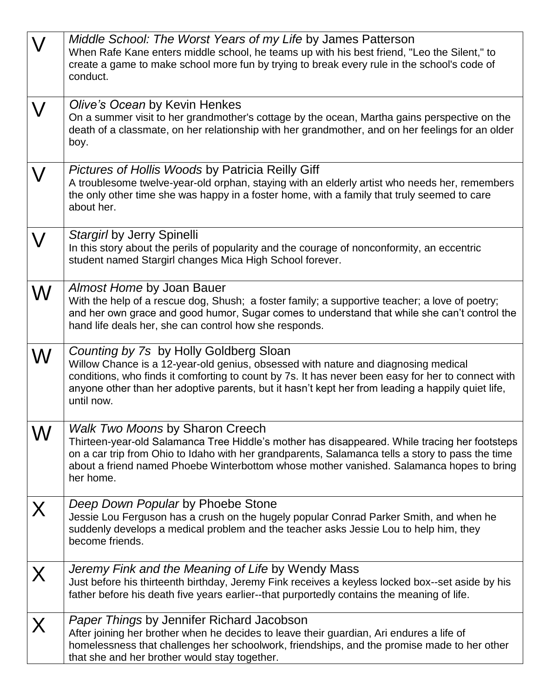| $\bm{\nabla}$ | Middle School: The Worst Years of my Life by James Patterson<br>When Rafe Kane enters middle school, he teams up with his best friend, "Leo the Silent," to<br>create a game to make school more fun by trying to break every rule in the school's code of<br>conduct.                                                                                |
|---------------|-------------------------------------------------------------------------------------------------------------------------------------------------------------------------------------------------------------------------------------------------------------------------------------------------------------------------------------------------------|
|               | Olive's Ocean by Kevin Henkes<br>On a summer visit to her grandmother's cottage by the ocean, Martha gains perspective on the<br>death of a classmate, on her relationship with her grandmother, and on her feelings for an older<br>boy.                                                                                                             |
| $\bigvee$     | <b>Pictures of Hollis Woods by Patricia Reilly Giff</b><br>A troublesome twelve-year-old orphan, staying with an elderly artist who needs her, remembers<br>the only other time she was happy in a foster home, with a family that truly seemed to care<br>about her.                                                                                 |
|               | Stargirl by Jerry Spinelli<br>In this story about the perils of popularity and the courage of nonconformity, an eccentric<br>student named Stargirl changes Mica High School forever.                                                                                                                                                                 |
| ${\sf W}$     | Almost Home by Joan Bauer<br>With the help of a rescue dog, Shush; a foster family; a supportive teacher; a love of poetry;<br>and her own grace and good humor, Sugar comes to understand that while she can't control the<br>hand life deals her, she can control how she responds.                                                                 |
| ${\sf W}$     | Counting by 7s by Holly Goldberg Sloan<br>Willow Chance is a 12-year-old genius, obsessed with nature and diagnosing medical<br>conditions, who finds it comforting to count by 7s. It has never been easy for her to connect with<br>anyone other than her adoptive parents, but it hasn't kept her from leading a happily quiet life,<br>until now. |
| W             | <b>Walk Two Moons by Sharon Creech</b><br>Thirteen-year-old Salamanca Tree Hiddle's mother has disappeared. While tracing her footsteps<br>on a car trip from Ohio to Idaho with her grandparents, Salamanca tells a story to pass the time<br>about a friend named Phoebe Winterbottom whose mother vanished. Salamanca hopes to bring<br>her home.  |
| X             | Deep Down Popular by Phoebe Stone<br>Jessie Lou Ferguson has a crush on the hugely popular Conrad Parker Smith, and when he<br>suddenly develops a medical problem and the teacher asks Jessie Lou to help him, they<br>become friends.                                                                                                               |
| X             | Jeremy Fink and the Meaning of Life by Wendy Mass<br>Just before his thirteenth birthday, Jeremy Fink receives a keyless locked box--set aside by his<br>father before his death five years earlier--that purportedly contains the meaning of life.                                                                                                   |
|               | <b>Paper Things by Jennifer Richard Jacobson</b><br>After joining her brother when he decides to leave their guardian, Ari endures a life of<br>homelessness that challenges her schoolwork, friendships, and the promise made to her other<br>that she and her brother would stay together.                                                          |